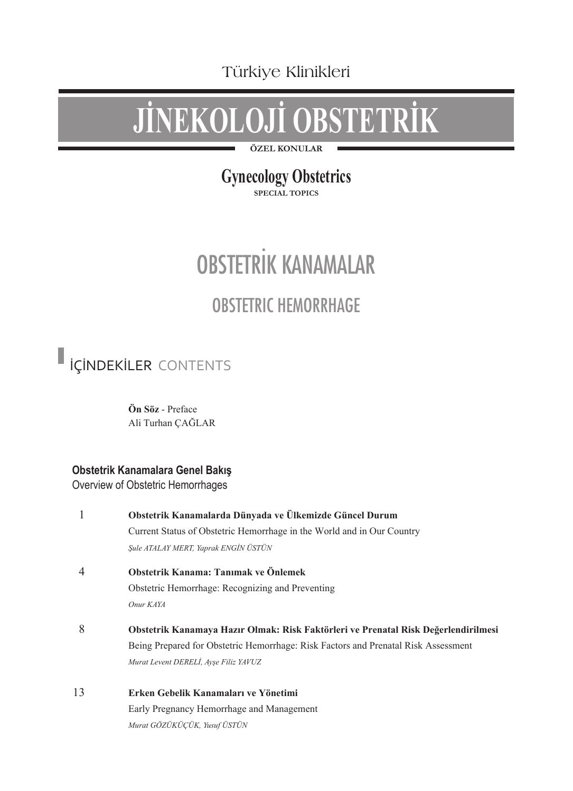Türkiye Klinikleri

# **JİNEKOLOJİ OBSTETRİK**

**ÖZEL KONULAR**

### **Gynecology Obstetrics**

**SPECIAL TOPICS**

## OBSTETRİK KANAMALAR OBSTETRIC HEMORRHAGE

İÇİNDEKİLER CONTENTS

**Ön Söz** - Preface Ali Turhan ÇAĞLAR

#### **Obstetrik Kanamalara Genel Bakış**

Overview of Obstetric Hemorrhages

| 1  | Obstetrik Kanamalarda Dünyada ve Ülkemizde Güncel Durum                            |
|----|------------------------------------------------------------------------------------|
|    | Current Status of Obstetric Hemorrhage in the World and in Our Country             |
|    | Sule ATALAY MERT, Yaprak ENGİN ÜSTÜN                                               |
| 4  | Obstetrik Kanama: Tanımak ve Önlemek                                               |
|    | Obstetric Hemorrhage: Recognizing and Preventing                                   |
|    | Onur KAYA                                                                          |
| 8  | Obstetrik Kanamaya Hazır Olmak: Risk Faktörleri ve Prenatal Risk Değerlendirilmesi |
|    | Being Prepared for Obstetric Hemorrhage: Risk Factors and Prenatal Risk Assessment |
|    | Murat Levent DERELI, Ayşe Filiz YAVUZ                                              |
| 13 | Erken Gebelik Kanamaları ve Yönetimi                                               |
|    | Early Pregnancy Hemorrhage and Management                                          |
|    | Murat GÖZÜKÜÇÜK, Yusuf ÜSTÜN                                                       |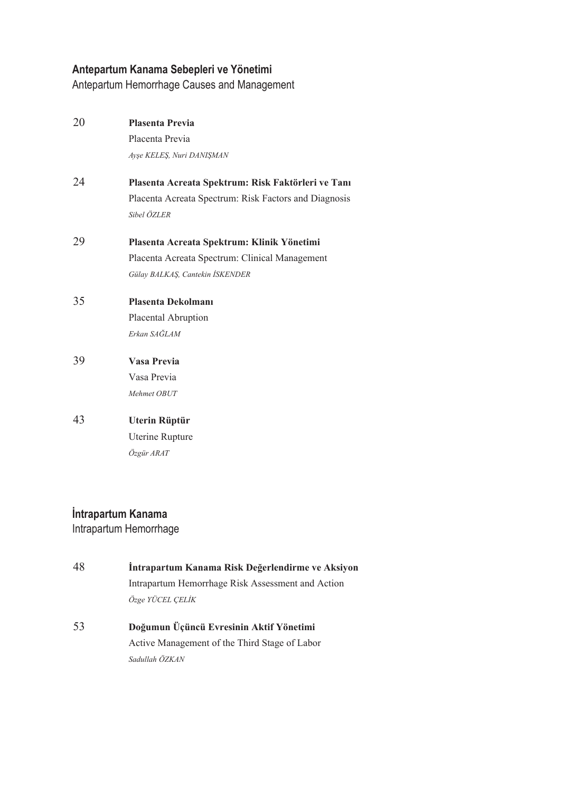#### **Antepartum Kanama Sebepleri ve Yönetimi**

Antepartum Hemorrhage Causes and Management

| 20 | <b>Plasenta Previa</b>                                |
|----|-------------------------------------------------------|
|    | Placenta Previa                                       |
|    | Ayşe KELEŞ, Nuri DANIŞMAN                             |
| 24 | Plasenta Acreata Spektrum: Risk Faktörleri ve Tanı    |
|    | Placenta Acreata Spectrum: Risk Factors and Diagnosis |
|    | Sibel ÖZLER                                           |
| 29 | Plasenta Acreata Spektrum: Klinik Yönetimi            |
|    | Placenta Acreata Spectrum: Clinical Management        |
|    | Gülay BALKAŞ, Cantekin İSKENDER                       |
| 35 | Plasenta Dekolmanı                                    |
|    | Placental Abruption                                   |
|    | Erkan SAĞLAM                                          |
| 39 | Vasa Previa                                           |
|    | Vasa Previa                                           |
|    | Mehmet OBUT                                           |
| 43 | Uterin Rüptür                                         |
|    | Uterine Rupture                                       |
|    | Özgür ARAT                                            |

#### **İntrapartum Kanama** Intrapartum Hemorrhage

- 48 **İntrapartum Kanama Risk Değerlendirme ve Aksiyon**  Intrapartum Hemorrhage Risk Assessment and Action *Özge YÜCEL ÇELİK*
- 53 **Doğumun Üçüncü Evresinin Aktif Yönetimi**  Active Management of the Third Stage of Labor *Sadullah ÖZKAN*